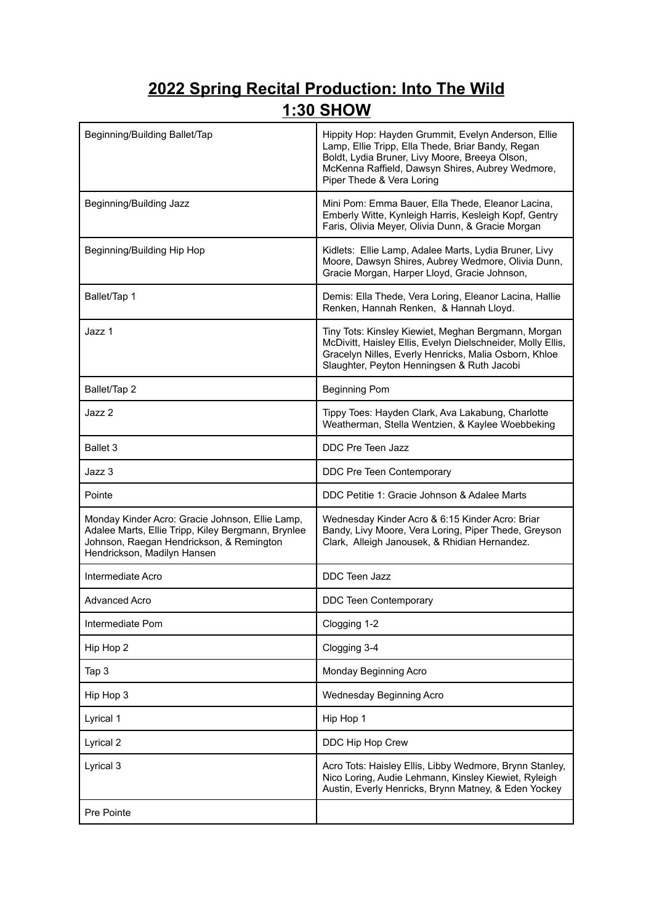## **2022 Spring Recital Production: Into The Wild 1:30 SHOW**

| Beginning/Building Ballet/Tap                                                                                                                                                    | Hippity Hop: Hayden Grummit, Evelyn Anderson, Ellie<br>Lamp, Ellie Tripp, Ella Thede, Briar Bandy, Regan<br>Boldt, Lydia Bruner, Livy Moore, Breeya Olson,<br>McKenna Raffield, Dawsyn Shires, Aubrey Wedmore,<br>Piper Thede & Vera Loring |
|----------------------------------------------------------------------------------------------------------------------------------------------------------------------------------|---------------------------------------------------------------------------------------------------------------------------------------------------------------------------------------------------------------------------------------------|
| Beginning/Building Jazz                                                                                                                                                          | Mini Pom: Emma Bauer, Ella Thede, Eleanor Lacina,<br>Emberly Witte, Kynleigh Harris, Kesleigh Kopf, Gentry<br>Faris, Olivia Meyer, Olivia Dunn, & Gracie Morgan                                                                             |
| Beginning/Building Hip Hop                                                                                                                                                       | Kidlets: Ellie Lamp, Adalee Marts, Lydia Bruner, Livy<br>Moore, Dawsyn Shires, Aubrey Wedmore, Olivia Dunn,<br>Gracie Morgan, Harper Lloyd, Gracie Johnson,                                                                                 |
| Ballet/Tap 1                                                                                                                                                                     | Demis: Ella Thede, Vera Loring, Eleanor Lacina, Hallie<br>Renken, Hannah Renken, & Hannah Lloyd.                                                                                                                                            |
| Jazz 1                                                                                                                                                                           | Tiny Tots: Kinsley Kiewiet, Meghan Bergmann, Morgan<br>McDivitt, Haisley Ellis, Evelyn Dielschneider, Molly Ellis,<br>Gracelyn Nilles, Everly Henricks, Malia Osborn, Khloe<br>Slaughter, Peyton Henningsen & Ruth Jacobi                   |
| Ballet/Tap 2                                                                                                                                                                     | <b>Beginning Pom</b>                                                                                                                                                                                                                        |
| Jazz 2                                                                                                                                                                           | Tippy Toes: Hayden Clark, Ava Lakabung, Charlotte<br>Weatherman, Stella Wentzien, & Kaylee Woebbeking                                                                                                                                       |
| Ballet 3                                                                                                                                                                         | DDC Pre Teen Jazz                                                                                                                                                                                                                           |
| Jazz 3                                                                                                                                                                           | DDC Pre Teen Contemporary                                                                                                                                                                                                                   |
| Pointe                                                                                                                                                                           | DDC Petitie 1: Gracie Johnson & Adalee Marts                                                                                                                                                                                                |
| Monday Kinder Acro: Gracie Johnson, Ellie Lamp,<br>Adalee Marts, Ellie Tripp, Kiley Bergmann, Brynlee<br>Johnson, Raegan Hendrickson, & Remington<br>Hendrickson, Madilyn Hansen | Wednesday Kinder Acro & 6:15 Kinder Acro: Briar<br>Bandy, Livy Moore, Vera Loring, Piper Thede, Greyson<br>Clark, Alleigh Janousek, & Rhidian Hernandez.                                                                                    |
| Intermediate Acro                                                                                                                                                                | DDC Teen Jazz                                                                                                                                                                                                                               |
| <b>Advanced Acro</b>                                                                                                                                                             | <b>DDC Teen Contemporary</b>                                                                                                                                                                                                                |
| Intermediate Pom                                                                                                                                                                 | Clogging 1-2                                                                                                                                                                                                                                |
| Hip Hop 2                                                                                                                                                                        | Clogging 3-4                                                                                                                                                                                                                                |
| Tap 3                                                                                                                                                                            | Monday Beginning Acro                                                                                                                                                                                                                       |
| Hip Hop 3                                                                                                                                                                        | Wednesday Beginning Acro                                                                                                                                                                                                                    |
| Lyrical 1                                                                                                                                                                        | Hip Hop 1                                                                                                                                                                                                                                   |
| Lyrical 2                                                                                                                                                                        | DDC Hip Hop Crew                                                                                                                                                                                                                            |
| Lyrical 3                                                                                                                                                                        | Acro Tots: Haisley Ellis, Libby Wedmore, Brynn Stanley,<br>Nico Loring, Audie Lehmann, Kinsley Kiewiet, Ryleigh<br>Austin, Everly Henricks, Brynn Matney, & Eden Yockey                                                                     |
| <b>Pre Pointe</b>                                                                                                                                                                |                                                                                                                                                                                                                                             |